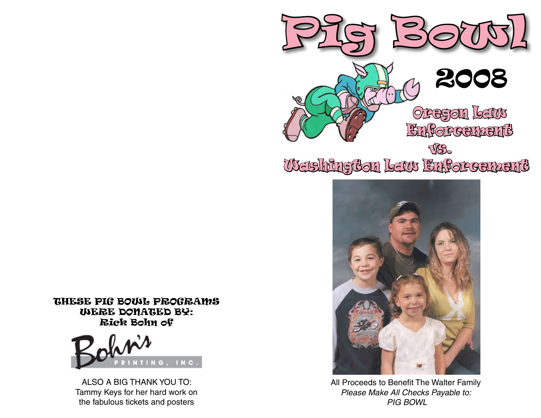



All Proceeds to Benefit The Walter Family *Please Make All Checks Payable to: PIG BOWL*

THESE PIG BOWL PROGRAMS WERE DONATED BY: Rick Bohn of



ALSO A BIG THANK YOU TO: Tammy Keys for her hard work on the fabulous tickets and posters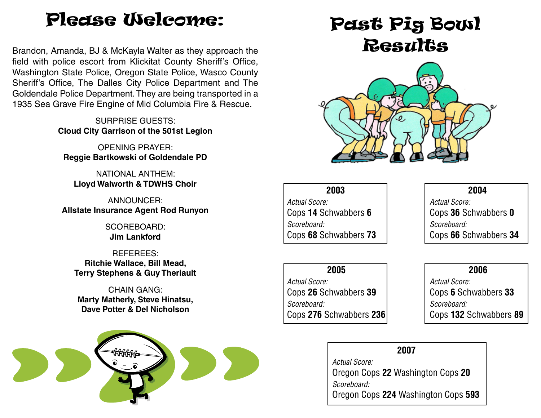## Please Welcome:

Brandon, Amanda, BJ & McKayla Walter as they approach the field with police escort from Klickitat County Sheriff's Office, Washington State Police, Oregon State Police, Wasco County Sheriff's Office, The Dalles City Police Department and The Goldendale Police Department. They are being transported in a 1935 Sea Grave Fire Engine of Mid Columbia Fire & Rescue.

> SURPRISE GUESTS: **Cloud City Garrison of the 501st Legion**

OPENING PRAYER: **Reggie Bartkowski of Goldendale PD**

NATIONAL ANTHEM: **Lloyd Walworth & TDWHS Choir** 

ANNOUNCER: **Allstate Insurance Agent Rod Runyon**

> SCOREBOARD: **Jim Lankford**

REFEREES: **Ritchie Wallace, Bill Mead, Terry Stephens & Guy Theriault**

CHAIN GANG: **Marty Matherly, Steve Hinatsu, Dave Potter & Del Nicholson**



## Past Pig Bowl Results



**2003** *Actual Score:* Cops **14** Schwabbers **6** *Scoreboard:* Cops **68** Schwabbers **73**

**2004** *Actual Score:* Cops **36** Schwabbers **0** *Scoreboard:* Cops **66** Schwabbers **34**

**2005** *Actual Score:* Cops **26** Schwabbers **39** *Scoreboard:* Cops **276** Schwabbers **236**

**2006** *Actual Score:* Cops **6** Schwabbers **33** *Scoreboard:* Cops **132** Schwabbers **89**

### **2007**

*Actual Score:* Oregon Cops **22** Washington Cops **20** *Scoreboard:* Oregon Cops **224** Washington Cops **593**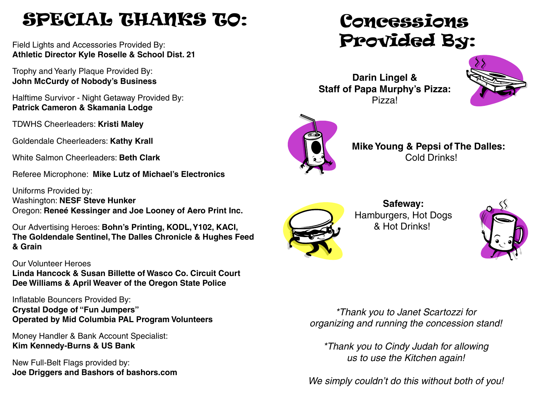## SPECIAL THANKS TO:

Field Lights and Accessories Provided By: **Athletic Director Kyle Roselle & School Dist. 21**

Trophy and Yearly Plaque Provided By: **John McCurdy of Nobody's Business**

Halftime Survivor - Night Getaway Provided By: **Patrick Cameron & Skamania Lodge**

TDWHS Cheerleaders: **Kristi Maley**

Goldendale Cheerleaders: **Kathy Krall**

White Salmon Cheerleaders: **Beth Clark**

Referee Microphone: **Mike Lutz of Michael's Electronics**

Uniforms Provided by: Washington: **NESF Steve Hunker** Oregon: **Reneé Kessinger and Joe Looney of Aero Print Inc.**

Our Advertising Heroes: **Bohn's Printing, KODL, Y102, KACI, The Goldendale Sentinel, The Dalles Chronicle & Hughes Feed & Grain**

Our Volunteer Heroes **Linda Hancock & Susan Billette of Wasco Co. Circuit Court Dee Williams & April Weaver of the Oregon State Police**

Inflatable Bouncers Provided By:

**Crystal Dodge of "Fun Jumpers" Operated by Mid Columbia PAL Program Volunteers**

Money Handler & Bank Account Specialist: **Kim Kennedy-Burns & US Bank**

New Full-Belt Flags provided by: **Joe Driggers and Bashors of bashors.com**

## Concessions Provided By:

**Darin Lingel & Staff of Papa Murphy's Pizza:** Pizza!



 **Mike Young & Pepsi of The Dalles:** Cold Drinks!



 **Safeway:** Hamburgers, Hot Dogs & Hot Drinks!



*\*Thank you to Janet Scartozzi for organizing and running the concession stand!* 

*\*Thank you to Cindy Judah for allowing us to use the Kitchen again!* 

*We simply couldn't do this without both of you!*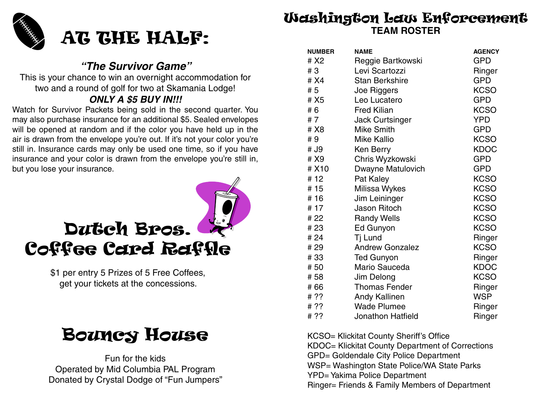

### *"The Survivor Game"*

This is your chance to win an overnight accommodation for two and a round of golf for two at Skamania Lodge!

### *ONLY A \$5 BUY IN!!!*

Watch for Survivor Packets being sold in the second quarter. You may also purchase insurance for an additional \$5. Sealed envelopes will be opened at random and if the color you have held up in the air is drawn from the envelope you're out. If it's not your color you're still in. Insurance cards may only be used one time, so if you have insurance and your color is drawn from the envelope you're still in, but you lose your insurance.



\$1 per entry 5 Prizes of 5 Free Coffees, get your tickets at the concessions.

## Bouncy House

Fun for the kids Operated by Mid Columbia PAL Program Donated by Crystal Dodge of "Fun Jumpers"

# Washington Law Enforcement ! **TEAM ROSTER**

| <b>NUMBER</b> | <b>NAME</b>              | <b>AGENCY</b> |
|---------------|--------------------------|---------------|
| # X2          | Reggie Bartkowski        | <b>GPD</b>    |
| # 3           | Levi Scartozzi           | Ringer        |
| # X4          | <b>Stan Berkshire</b>    | GPD           |
| # 5           | Joe Riggers              | <b>KCSO</b>   |
| # X5          | Leo Lucatero             | <b>GPD</b>    |
| # 6           | <b>Fred Kilian</b>       | <b>KCSO</b>   |
| #7            | <b>Jack Curtsinger</b>   | <b>YPD</b>    |
| # X8          | <b>Mike Smith</b>        | <b>GPD</b>    |
| #9            | <b>Mike Kallio</b>       | <b>KCSO</b>   |
| # J9          | Ken Berry                | <b>KDOC</b>   |
| # X9          | Chris Wyzkowski          | <b>GPD</b>    |
| # X10         | Dwayne Matulovich        | <b>GPD</b>    |
| # 12          | Pat Kaley                | <b>KCSO</b>   |
| # 15          | Milissa Wykes            | <b>KCSO</b>   |
| # 16          | Jim Leininger            | <b>KCSO</b>   |
| # 17          | <b>Jason Ritoch</b>      | <b>KCSO</b>   |
| # 22          | <b>Randy Wells</b>       | <b>KCSO</b>   |
| # 23          | Ed Gunyon                | <b>KCSO</b>   |
| # 24          | Tj Lund                  | Ringer        |
| # 29          | <b>Andrew Gonzalez</b>   | <b>KCSO</b>   |
| #33           | <b>Ted Gunyon</b>        | Ringer        |
| # 50          | Mario Sauceda            | <b>KDOC</b>   |
| # 58          | Jim Delong               | <b>KCSO</b>   |
| # 66          | <b>Thomas Fender</b>     | Ringer        |
| # ??          | Andy Kallinen            | <b>WSP</b>    |
| # ??          | <b>Wade Plumee</b>       | Ringer        |
| # ??          | <b>Jonathon Hatfield</b> | Ringer        |

KCSO= Klickitat County Sheriff's Office

KDOC= Klickitat County Department of Corrections GPD= Goldendale City Police Department WSP= Washington State Police/WA State Parks YPD= Yakima Police Department Ringer= Friends & Family Members of Department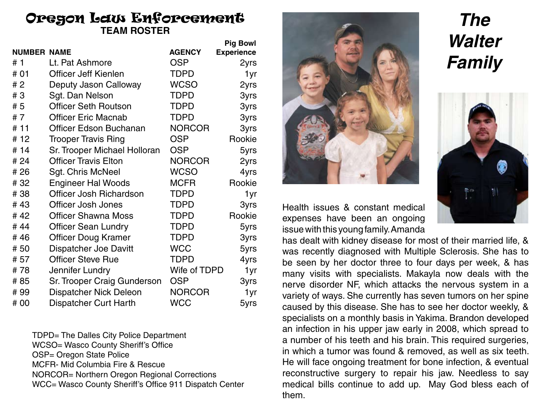### Oregon Law Enforcement **TEAM ROSTER**

|                    |                                |               | <b>Pig Bowl</b>   |
|--------------------|--------------------------------|---------------|-------------------|
| <b>NUMBER NAME</b> |                                | <b>AGENCY</b> | <b>Experience</b> |
| # 1                | Lt. Pat Ashmore                | <b>OSP</b>    | 2yrs              |
| # 01               | <b>Officer Jeff Kienlen</b>    | <b>TDPD</b>   | 1yr               |
| # 2                | Deputy Jason Calloway          | <b>WCSO</b>   | 2yrs              |
| #3                 | Sgt. Dan Nelson                | TDPD          | 3yrs              |
| # 5                | <b>Officer Seth Routson</b>    | TDPD          | 3yrs              |
| #7                 | <b>Officer Eric Macnab</b>     | <b>TDPD</b>   | 3yrs              |
| # 11               | <b>Officer Edson Buchanan</b>  | <b>NORCOR</b> | 3yrs              |
| # 12               | <b>Trooper Travis Ring</b>     | <b>OSP</b>    | Rookie            |
| # 14               | Sr. Trooper Michael Holloran   | <b>OSP</b>    | 5yrs              |
| # 24               | <b>Officer Travis Elton</b>    | <b>NORCOR</b> | 2yrs              |
| # 26               | Sgt. Chris McNeel              | <b>WCSO</b>   | 4yrs              |
| #32                | <b>Engineer Hal Woods</b>      | <b>MCFR</b>   | Rookie            |
| #38                | <b>Officer Josh Richardson</b> | <b>TDPD</b>   | 1yr               |
| #43                | <b>Officer Josh Jones</b>      | <b>TDPD</b>   | 3yrs              |
| # 42               | <b>Officer Shawna Moss</b>     | <b>TDPD</b>   | Rookie            |
| #44                | <b>Officer Sean Lundry</b>     | <b>TDPD</b>   | 5yrs              |
| #46                | <b>Officer Doug Kramer</b>     | <b>TDPD</b>   | 3yrs              |
| # 50               | <b>Dispatcher Joe Davitt</b>   | <b>WCC</b>    | 5yrs              |
| # 57               | <b>Officer Steve Rue</b>       | <b>TDPD</b>   | 4yrs              |
| #78                | Jennifer Lundry                | Wife of TDPD  | 1yr               |
| # 85               | Sr. Trooper Craig Gunderson    | <b>OSP</b>    | 3yrs              |
| #99                | <b>Dispatcher Nick Deleon</b>  | <b>NORCOR</b> | 1yr               |
| # 00               | <b>Dispatcher Curt Harth</b>   | <b>WCC</b>    | 5yrs              |

TDPD= The Dalles City Police Department WCSO= Wasco County Sheriff's Office OSP= Oregon State Police MCFR- Mid Columbia Fire & Rescue NORCOR= Northern Oregon Regional Corrections WCC= Wasco County Sheriff's Office 911 Dispatch Center



## *The Walter Family*



Health issues & constant medical expenses have been an ongoing issue with this young family. Amanda

has dealt with kidney disease for most of their married life, & was recently diagnosed with Multiple Sclerosis. She has to be seen by her doctor three to four days per week, & has many visits with specialists. Makayla now deals with the nerve disorder NF, which attacks the nervous system in a variety of ways. She currently has seven tumors on her spine caused by this disease. She has to see her doctor weekly, & specialists on a monthly basis in Yakima. Brandon developed an infection in his upper jaw early in 2008, which spread to a number of his teeth and his brain. This required surgeries, in which a tumor was found & removed, as well as six teeth. He will face ongoing treatment for bone infection, & eventual reconstructive surgery to repair his jaw. Needless to say medical bills continue to add up. May God bless each of them.